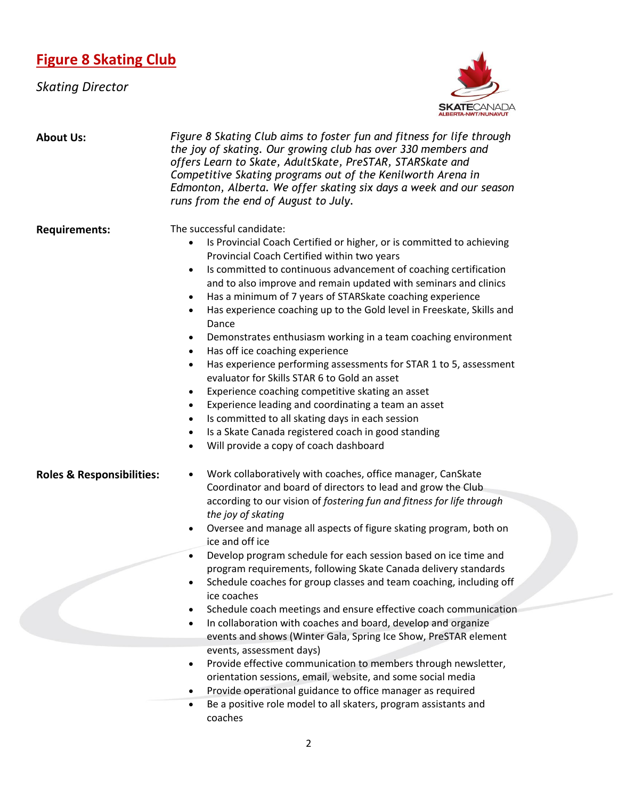## **Figure 8 Skating Club**

*Skating Director*



| <b>About Us:</b>                     | Figure 8 Skating Club aims to foster fun and fitness for life through<br>the joy of skating. Our growing club has over 330 members and<br>offers Learn to Skate, AdultSkate, PreSTAR, STARSkate and<br>Competitive Skating programs out of the Kenilworth Arena in<br>Edmonton, Alberta. We offer skating six days a week and our season<br>runs from the end of August to July.                                                                                                                                                                                                                                                                                                                                                                                                                                                                                                                                                                                                                                                                                                  |
|--------------------------------------|-----------------------------------------------------------------------------------------------------------------------------------------------------------------------------------------------------------------------------------------------------------------------------------------------------------------------------------------------------------------------------------------------------------------------------------------------------------------------------------------------------------------------------------------------------------------------------------------------------------------------------------------------------------------------------------------------------------------------------------------------------------------------------------------------------------------------------------------------------------------------------------------------------------------------------------------------------------------------------------------------------------------------------------------------------------------------------------|
| <b>Requirements:</b>                 | The successful candidate:<br>Is Provincial Coach Certified or higher, or is committed to achieving<br>Provincial Coach Certified within two years<br>Is committed to continuous advancement of coaching certification<br>$\bullet$<br>and to also improve and remain updated with seminars and clinics<br>Has a minimum of 7 years of STARSkate coaching experience<br>$\bullet$<br>Has experience coaching up to the Gold level in Freeskate, Skills and<br>$\bullet$<br>Dance<br>Demonstrates enthusiasm working in a team coaching environment<br>$\bullet$<br>Has off ice coaching experience<br>$\bullet$<br>Has experience performing assessments for STAR 1 to 5, assessment<br>$\bullet$<br>evaluator for Skills STAR 6 to Gold an asset<br>Experience coaching competitive skating an asset<br>$\bullet$<br>Experience leading and coordinating a team an asset<br>$\bullet$<br>Is committed to all skating days in each session<br>$\bullet$<br>Is a Skate Canada registered coach in good standing<br>$\bullet$<br>Will provide a copy of coach dashboard<br>$\bullet$ |
| <b>Roles &amp; Responsibilities:</b> | Work collaboratively with coaches, office manager, CanSkate<br>$\bullet$<br>Coordinator and board of directors to lead and grow the Club                                                                                                                                                                                                                                                                                                                                                                                                                                                                                                                                                                                                                                                                                                                                                                                                                                                                                                                                          |
|                                      | according to our vision of fostering fun and fitness for life through<br>the joy of skating                                                                                                                                                                                                                                                                                                                                                                                                                                                                                                                                                                                                                                                                                                                                                                                                                                                                                                                                                                                       |
|                                      | Oversee and manage all aspects of figure skating program, both on<br>$\bullet$<br>ice and off ice                                                                                                                                                                                                                                                                                                                                                                                                                                                                                                                                                                                                                                                                                                                                                                                                                                                                                                                                                                                 |
|                                      | Develop program schedule for each session based on ice time and<br>$\bullet$                                                                                                                                                                                                                                                                                                                                                                                                                                                                                                                                                                                                                                                                                                                                                                                                                                                                                                                                                                                                      |
|                                      | program requirements, following Skate Canada delivery standards<br>Schedule coaches for group classes and team coaching, including off                                                                                                                                                                                                                                                                                                                                                                                                                                                                                                                                                                                                                                                                                                                                                                                                                                                                                                                                            |
|                                      | ice coaches                                                                                                                                                                                                                                                                                                                                                                                                                                                                                                                                                                                                                                                                                                                                                                                                                                                                                                                                                                                                                                                                       |
|                                      | Schedule coach meetings and ensure effective coach communication                                                                                                                                                                                                                                                                                                                                                                                                                                                                                                                                                                                                                                                                                                                                                                                                                                                                                                                                                                                                                  |
|                                      | In collaboration with coaches and board, develop and organize<br>$\bullet$<br>events and shows (Winter Gala, Spring Ice Show, PreSTAR element                                                                                                                                                                                                                                                                                                                                                                                                                                                                                                                                                                                                                                                                                                                                                                                                                                                                                                                                     |
|                                      | events, assessment days)                                                                                                                                                                                                                                                                                                                                                                                                                                                                                                                                                                                                                                                                                                                                                                                                                                                                                                                                                                                                                                                          |
|                                      | Provide effective communication to members through newsletter,<br>$\bullet$<br>orientation sessions, email, website, and some social media                                                                                                                                                                                                                                                                                                                                                                                                                                                                                                                                                                                                                                                                                                                                                                                                                                                                                                                                        |
|                                      | Provide operational guidance to office manager as required<br>$\bullet$                                                                                                                                                                                                                                                                                                                                                                                                                                                                                                                                                                                                                                                                                                                                                                                                                                                                                                                                                                                                           |
|                                      | Be a positive role model to all skaters, program assistants and<br>$\bullet$<br>coaches                                                                                                                                                                                                                                                                                                                                                                                                                                                                                                                                                                                                                                                                                                                                                                                                                                                                                                                                                                                           |